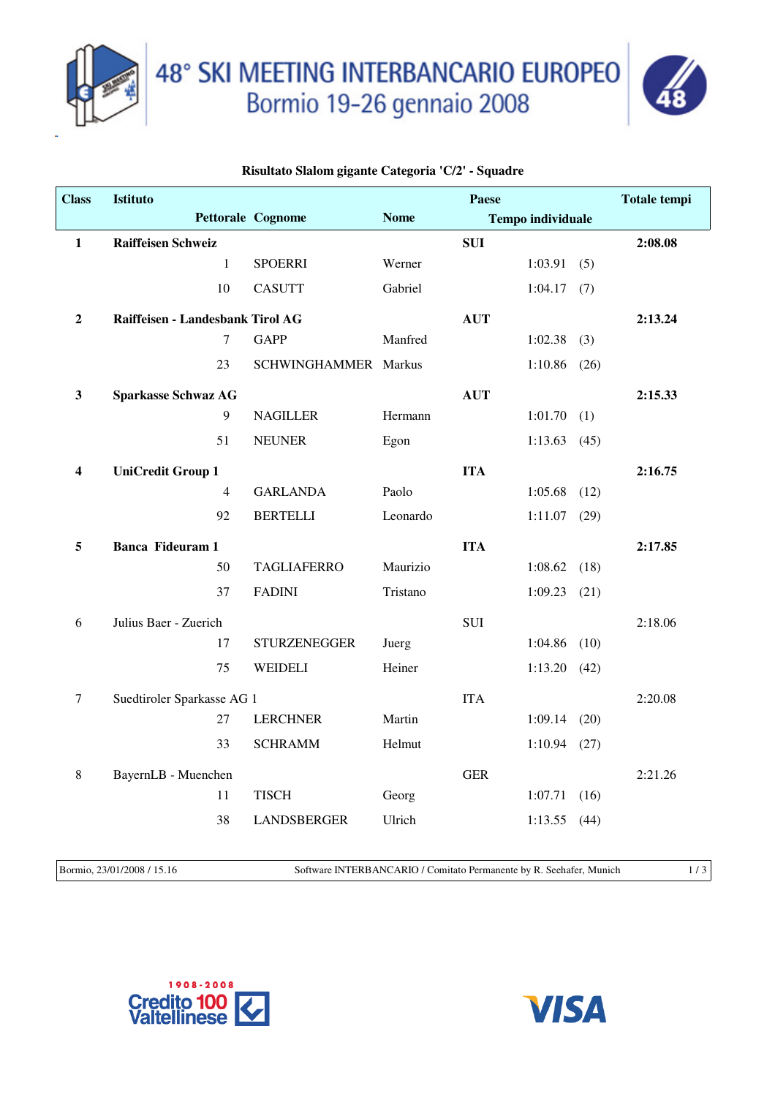



## **Risultato Slalom gigante Categoria 'C/2' - Squadre**

| <b>Class</b>            | <b>Istituto</b>                  |                      | Paese       |            |                          |      | <b>Totale tempi</b> |
|-------------------------|----------------------------------|----------------------|-------------|------------|--------------------------|------|---------------------|
|                         |                                  | Pettorale Cognome    | <b>Nome</b> |            | <b>Tempo individuale</b> |      |                     |
| $\mathbf{1}$            | <b>Raiffeisen Schweiz</b>        |                      |             | <b>SUI</b> |                          |      | 2:08.08             |
|                         | $\mathbf{1}$                     | <b>SPOERRI</b>       | Werner      |            | 1:03.91                  | (5)  |                     |
|                         | 10                               | <b>CASUTT</b>        | Gabriel     |            | $1:04.17$ (7)            |      |                     |
| $\boldsymbol{2}$        | Raiffeisen - Landesbank Tirol AG |                      |             | <b>AUT</b> |                          |      | 2:13.24             |
|                         | $\overline{7}$                   | <b>GAPP</b>          | Manfred     |            | $1:02.38$ (3)            |      |                     |
|                         | 23                               | SCHWINGHAMMER Markus |             |            | 1:10.86                  | (26) |                     |
| $\mathbf{3}$            | <b>Sparkasse Schwaz AG</b>       |                      |             | <b>AUT</b> |                          |      | 2:15.33             |
|                         | $\mathbf{9}$                     | <b>NAGILLER</b>      | Hermann     |            | $1:01.70$ (1)            |      |                     |
|                         | 51                               | <b>NEUNER</b>        | Egon        |            | 1:13.63                  | (45) |                     |
| $\overline{\mathbf{4}}$ | <b>UniCredit Group 1</b>         |                      |             | <b>ITA</b> |                          |      | 2:16.75             |
|                         | $\overline{4}$                   | <b>GARLANDA</b>      | Paolo       |            | 1:05.68                  | (12) |                     |
|                         | 92                               | <b>BERTELLI</b>      | Leonardo    |            | $1:11.07$ (29)           |      |                     |
| 5                       | <b>Banca Fideuram 1</b>          |                      |             | <b>ITA</b> |                          |      | 2:17.85             |
|                         | 50                               | <b>TAGLIAFERRO</b>   | Maurizio    |            | $1:08.62$ (18)           |      |                     |
|                         | 37                               | <b>FADINI</b>        | Tristano    |            | $1:09.23$ (21)           |      |                     |
| 6                       | Julius Baer - Zuerich            |                      |             | SUI        |                          |      | 2:18.06             |
|                         | 17                               | <b>STURZENEGGER</b>  | Juerg       |            | 1:04.86                  | (10) |                     |
|                         | 75                               | <b>WEIDELI</b>       | Heiner      |            | 1:13.20                  | (42) |                     |
| $\tau$                  | Suedtiroler Sparkasse AG 1       |                      |             | <b>ITA</b> |                          |      | 2:20.08             |
|                         | 27                               | <b>LERCHNER</b>      | Martin      |            | 1:09.14                  | (20) |                     |
|                         | 33                               | <b>SCHRAMM</b>       | Helmut      |            | $1:10.94$ (27)           |      |                     |
| $\,8\,$                 | BayernLB - Muenchen              |                      |             | <b>GER</b> |                          |      | 2:21.26             |
|                         | 11                               | <b>TISCH</b>         | Georg       |            | 1:07.71                  | (16) |                     |
|                         | 38                               | <b>LANDSBERGER</b>   | Ulrich      |            | 1:13.55                  | (44) |                     |
|                         |                                  |                      |             |            |                          |      |                     |

Bormio, 23/01/2008 / 15.16 Software INTERBANCARIO / Comitato Permanente by R. Seehafer, Munich 1 / 3



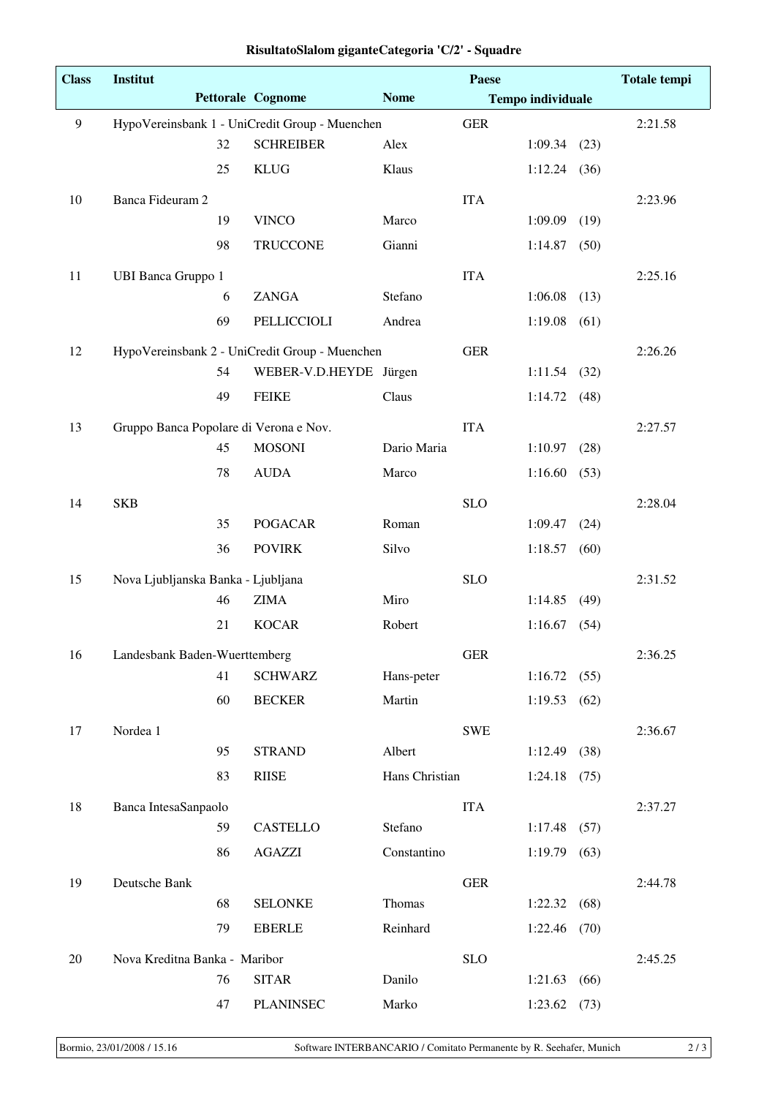| <b>Class</b>   | Institut                               | Paese |                                                |                |            | <b>Totale tempi</b>      |      |         |
|----------------|----------------------------------------|-------|------------------------------------------------|----------------|------------|--------------------------|------|---------|
|                |                                        |       | <b>Pettorale Cognome</b>                       | <b>Nome</b>    |            | <b>Tempo individuale</b> |      |         |
| $\overline{9}$ |                                        |       | HypoVereinsbank 1 - UniCredit Group - Muenchen |                | <b>GER</b> |                          |      | 2:21.58 |
|                |                                        | 32    | <b>SCHREIBER</b>                               | Alex           |            | $1:09.34$ (23)           |      |         |
|                |                                        | 25    | <b>KLUG</b>                                    | Klaus          |            | $1:12.24$ (36)           |      |         |
| 10             | Banca Fideuram 2                       |       |                                                |                | <b>ITA</b> |                          |      | 2:23.96 |
|                |                                        | 19    | <b>VINCO</b>                                   | Marco          |            | 1:09.09                  | (19) |         |
|                |                                        | 98    | <b>TRUCCONE</b>                                | Gianni         |            | 1:14.87                  | (50) |         |
| 11             | <b>UBI Banca Gruppo 1</b>              |       |                                                |                | <b>ITA</b> |                          |      | 2:25.16 |
|                |                                        | 6     | <b>ZANGA</b>                                   | Stefano        |            | 1:06.08                  | (13) |         |
|                |                                        | 69    | PELLICCIOLI                                    | Andrea         |            | 1:19.08                  | (61) |         |
| 12             |                                        |       | HypoVereinsbank 2 - UniCredit Group - Muenchen |                | <b>GER</b> |                          |      | 2:26.26 |
|                |                                        | 54    | WEBER-V.D.HEYDE Jürgen                         |                |            | 1:11.54                  | (32) |         |
|                |                                        | 49    | <b>FEIKE</b>                                   | Claus          |            | 1:14.72                  | (48) |         |
| 13             | Gruppo Banca Popolare di Verona e Nov. |       |                                                |                | <b>ITA</b> |                          |      | 2:27.57 |
|                |                                        | 45    | <b>MOSONI</b>                                  | Dario Maria    |            | 1:10.97                  | (28) |         |
|                |                                        | 78    | <b>AUDA</b>                                    | Marco          |            | 1:16.60                  | (53) |         |
| 14             | <b>SKB</b>                             |       |                                                |                | <b>SLO</b> |                          |      | 2:28.04 |
|                |                                        | 35    | <b>POGACAR</b>                                 | Roman          |            | 1:09.47                  | (24) |         |
|                |                                        | 36    | <b>POVIRK</b>                                  | Silvo          |            | 1:18.57                  | (60) |         |
| 15             | Nova Ljubljanska Banka - Ljubljana     |       |                                                |                | <b>SLO</b> |                          |      | 2:31.52 |
|                |                                        | 46    | <b>ZIMA</b>                                    | Miro           |            | 1:14.85                  | (49) |         |
|                |                                        | 21    | <b>KOCAR</b>                                   | Robert         |            | 1:16.67                  | (54) |         |
| 16             | Landesbank Baden-Wuerttemberg          |       |                                                |                | <b>GER</b> |                          |      | 2:36.25 |
|                |                                        | 41    | <b>SCHWARZ</b>                                 | Hans-peter     |            | 1:16.72(55)              |      |         |
|                |                                        | 60    | <b>BECKER</b>                                  | Martin         |            | 1:19.53                  | (62) |         |
| 17             | Nordea 1                               |       |                                                |                | <b>SWE</b> |                          |      | 2:36.67 |
|                |                                        | 95    | <b>STRAND</b>                                  | Albert         |            | 1:12.49                  | (38) |         |
|                |                                        | 83    | <b>RIISE</b>                                   | Hans Christian |            | 1:24.18                  | (75) |         |
| 18             | Banca IntesaSanpaolo                   |       |                                                |                | <b>ITA</b> |                          |      | 2:37.27 |
|                |                                        | 59    | CASTELLO                                       | Stefano        |            | 1:17.48                  | (57) |         |
|                |                                        | 86    | <b>AGAZZI</b>                                  | Constantino    |            | 1:19.79                  | (63) |         |
| 19             | Deutsche Bank                          |       |                                                |                | <b>GER</b> |                          |      | 2:44.78 |
|                |                                        | 68    | <b>SELONKE</b>                                 | Thomas         |            | 1:22.32                  | (68) |         |
|                |                                        | 79    | <b>EBERLE</b>                                  | Reinhard       |            | 1:22.46                  | (70) |         |
| 20             | Nova Kreditna Banka - Maribor          |       |                                                |                | <b>SLO</b> |                          |      | 2:45.25 |
|                |                                        | 76    | <b>SITAR</b>                                   | Danilo         |            | 1:21.63                  | (66) |         |
|                |                                        | 47    | <b>PLANINSEC</b>                               | Marko          |            | 1:23.62                  | (73) |         |

## **RisultatoSlalom giganteCategoria 'C/2' - Squadre**